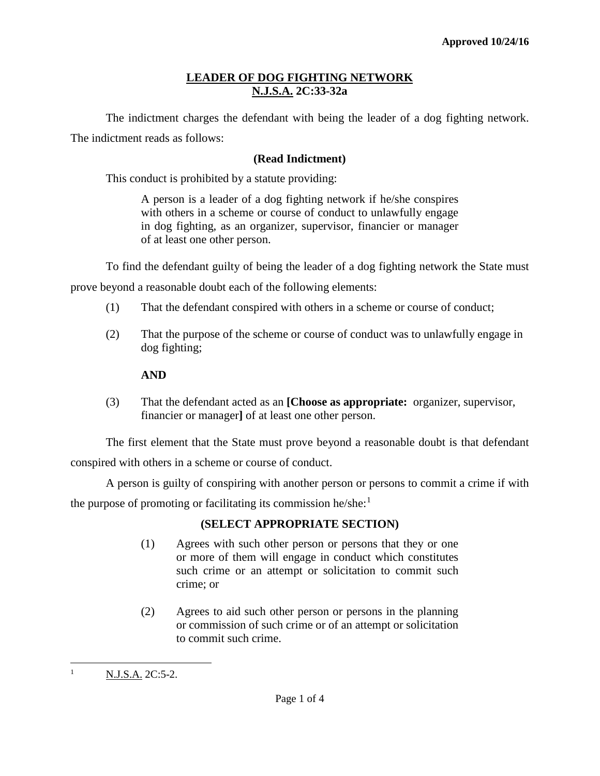# **LEADER OF DOG FIGHTING NETWORK N.J.S.A. 2C:33-32a**

The indictment charges the defendant with being the leader of a dog fighting network. The indictment reads as follows:

### **(Read Indictment)**

This conduct is prohibited by a statute providing:

A person is a leader of a dog fighting network if he/she conspires with others in a scheme or course of conduct to unlawfully engage in dog fighting, as an organizer, supervisor, financier or manager of at least one other person.

To find the defendant guilty of being the leader of a dog fighting network the State must

prove beyond a reasonable doubt each of the following elements:

- (1) That the defendant conspired with others in a scheme or course of conduct;
- (2) That the purpose of the scheme or course of conduct was to unlawfully engage in dog fighting;

# **AND**

(3) That the defendant acted as an **[Choose as appropriate:** organizer, supervisor, financier or manager**]** of at least one other person.

The first element that the State must prove beyond a reasonable doubt is that defendant conspired with others in a scheme or course of conduct.

A person is guilty of conspiring with another person or persons to commit a crime if with the purpose of promoting or facilitating its commission he/she:<sup>[1](#page-0-0)</sup>

# **(SELECT APPROPRIATE SECTION)**

- (1) Agrees with such other person or persons that they or one or more of them will engage in conduct which constitutes such crime or an attempt or solicitation to commit such crime; or
- (2) Agrees to aid such other person or persons in the planning or commission of such crime or of an attempt or solicitation to commit such crime.

 $\overline{\phantom{a}}$ 

<span id="page-0-0"></span> $N.J.S.A. 2C:5-2.$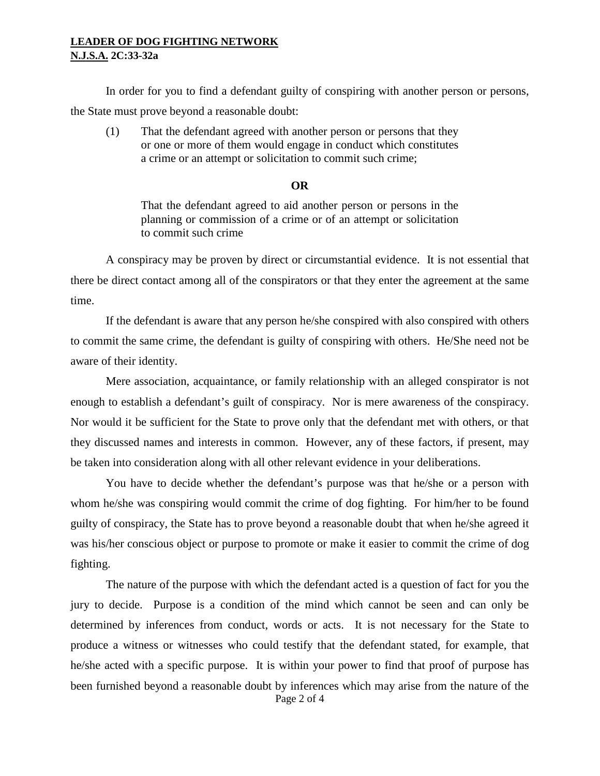### **LEADER OF DOG FIGHTING NETWORK N.J.S.A. 2C:33-32a**

In order for you to find a defendant guilty of conspiring with another person or persons, the State must prove beyond a reasonable doubt:

(1) That the defendant agreed with another person or persons that they or one or more of them would engage in conduct which constitutes a crime or an attempt or solicitation to commit such crime;

#### **OR**

That the defendant agreed to aid another person or persons in the planning or commission of a crime or of an attempt or solicitation to commit such crime

A conspiracy may be proven by direct or circumstantial evidence. It is not essential that there be direct contact among all of the conspirators or that they enter the agreement at the same time.

If the defendant is aware that any person he/she conspired with also conspired with others to commit the same crime, the defendant is guilty of conspiring with others. He/She need not be aware of their identity.

Mere association, acquaintance, or family relationship with an alleged conspirator is not enough to establish a defendant's guilt of conspiracy. Nor is mere awareness of the conspiracy. Nor would it be sufficient for the State to prove only that the defendant met with others, or that they discussed names and interests in common. However, any of these factors, if present, may be taken into consideration along with all other relevant evidence in your deliberations.

You have to decide whether the defendant's purpose was that he/she or a person with whom he/she was conspiring would commit the crime of dog fighting. For him/her to be found guilty of conspiracy, the State has to prove beyond a reasonable doubt that when he/she agreed it was his/her conscious object or purpose to promote or make it easier to commit the crime of dog fighting.

Page 2 of 4 The nature of the purpose with which the defendant acted is a question of fact for you the jury to decide. Purpose is a condition of the mind which cannot be seen and can only be determined by inferences from conduct, words or acts. It is not necessary for the State to produce a witness or witnesses who could testify that the defendant stated, for example, that he/she acted with a specific purpose. It is within your power to find that proof of purpose has been furnished beyond a reasonable doubt by inferences which may arise from the nature of the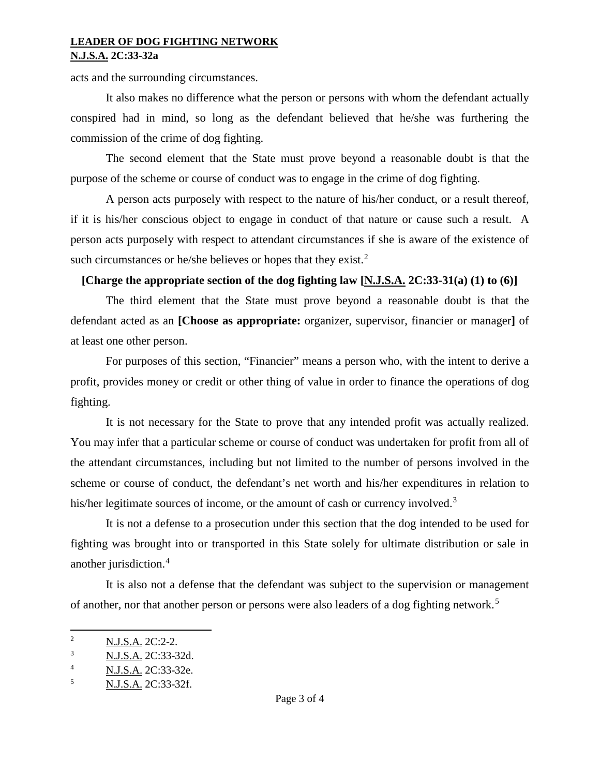### **LEADER OF DOG FIGHTING NETWORK N.J.S.A. 2C:33-32a**

acts and the surrounding circumstances.

It also makes no difference what the person or persons with whom the defendant actually conspired had in mind, so long as the defendant believed that he/she was furthering the commission of the crime of dog fighting.

The second element that the State must prove beyond a reasonable doubt is that the purpose of the scheme or course of conduct was to engage in the crime of dog fighting.

A person acts purposely with respect to the nature of his/her conduct, or a result thereof, if it is his/her conscious object to engage in conduct of that nature or cause such a result. A person acts purposely with respect to attendant circumstances if she is aware of the existence of such circumstances or he/she believes or hopes that they exist. $2^2$  $2^2$ 

# **[Charge the appropriate section of the dog fighting law [N.J.S.A. 2C:33-31(a) (1) to (6)]**

The third element that the State must prove beyond a reasonable doubt is that the defendant acted as an **[Choose as appropriate:** organizer, supervisor, financier or manager**]** of at least one other person.

For purposes of this section, "Financier" means a person who, with the intent to derive a profit, provides money or credit or other thing of value in order to finance the operations of dog fighting.

It is not necessary for the State to prove that any intended profit was actually realized. You may infer that a particular scheme or course of conduct was undertaken for profit from all of the attendant circumstances, including but not limited to the number of persons involved in the scheme or course of conduct, the defendant's net worth and his/her expenditures in relation to his/her legitimate sources of income, or the amount of cash or currency involved.<sup>[3](#page-2-1)</sup>

It is not a defense to a prosecution under this section that the dog intended to be used for fighting was brought into or transported in this State solely for ultimate distribution or sale in another jurisdiction.[4](#page-2-2)

It is also not a defense that the defendant was subject to the supervision or management of another, nor that another person or persons were also leaders of a dog fighting network.<sup>[5](#page-2-3)</sup>

<span id="page-2-0"></span>l <sup>2</sup> N.J.S.A. 2C:2-2.

<span id="page-2-1"></span><sup>3</sup> N.J.S.A. 2C:33-32d.

<span id="page-2-2"></span><sup>4</sup> N.J.S.A. 2C:33-32e.

<span id="page-2-3"></span><sup>5</sup> N.J.S.A. 2C:33-32f.